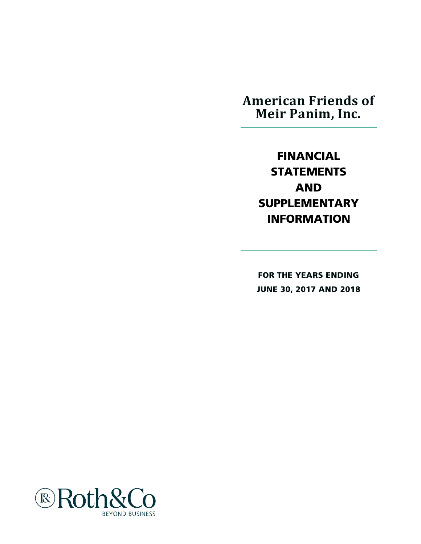**American Friends of Meir Panim, Inc.**

> FINANCIAL **STATEMENTS** AND SUPPLEMENTARY INFORMATION

FOR THE YEARS ENDING JUNE 30, 2017 AND 2018

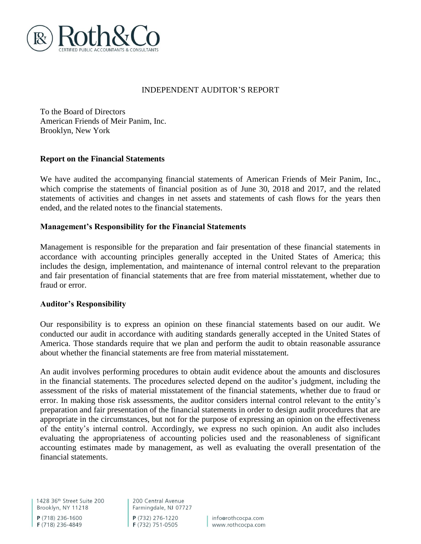

## INDEPENDENT AUDITOR'S REPORT

To the Board of Directors American Friends of Meir Panim, Inc. Brooklyn, New York

## **Report on the Financial Statements**

We have audited the accompanying financial statements of American Friends of Meir Panim, Inc., which comprise the statements of financial position as of June 30, 2018 and 2017, and the related statements of activities and changes in net assets and statements of cash flows for the years then ended, and the related notes to the financial statements.

## **Management's Responsibility for the Financial Statements**

Management is responsible for the preparation and fair presentation of these financial statements in accordance with accounting principles generally accepted in the United States of America; this includes the design, implementation, and maintenance of internal control relevant to the preparation and fair presentation of financial statements that are free from material misstatement, whether due to fraud or error.

## **Auditor's Responsibility**

Our responsibility is to express an opinion on these financial statements based on our audit. We conducted our audit in accordance with auditing standards generally accepted in the United States of America. Those standards require that we plan and perform the audit to obtain reasonable assurance about whether the financial statements are free from material misstatement.

An audit involves performing procedures to obtain audit evidence about the amounts and disclosures in the financial statements. The procedures selected depend on the auditor's judgment, including the assessment of the risks of material misstatement of the financial statements, whether due to fraud or error. In making those risk assessments, the auditor considers internal control relevant to the entity's preparation and fair presentation of the financial statements in order to design audit procedures that are appropriate in the circumstances, but not for the purpose of expressing an opinion on the effectiveness of the entity's internal control. Accordingly, we express no such opinion. An audit also includes evaluating the appropriateness of accounting policies used and the reasonableness of significant accounting estimates made by management, as well as evaluating the overall presentation of the financial statements.

1428 36th Street Suite 200 Brooklyn, NY 11218

P (718) 236-1600 F (718) 236-4849

200 Central Avenue Farmingdale, NJ 07727

P (732) 276-1220 F (732) 751-0505

info@rothcocpa.com www.rothcocpa.com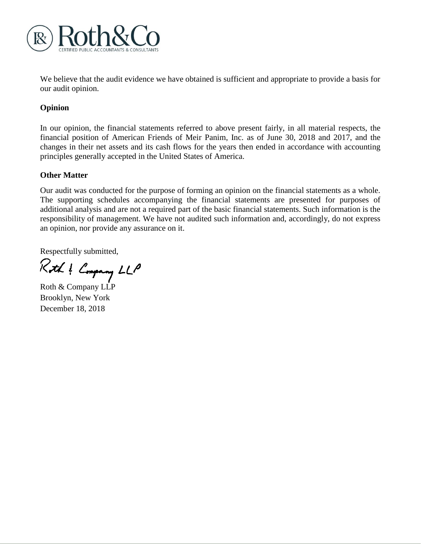

We believe that the audit evidence we have obtained is sufficient and appropriate to provide a basis for our audit opinion.

## **Opinion**

In our opinion, the financial statements referred to above present fairly, in all material respects, the financial position of American Friends of Meir Panim, Inc. as of June 30, 2018 and 2017, and the changes in their net assets and its cash flows for the years then ended in accordance with accounting principles generally accepted in the United States of America.

## **Other Matter**

Our audit was conducted for the purpose of forming an opinion on the financial statements as a whole. The supporting schedules accompanying the financial statements are presented for purposes of additional analysis and are not a required part of the basic financial statements. Such information is the responsibility of management. We have not audited such information and, accordingly, do not express an opinion, nor provide any assurance on it.

Respectfully submitted,

Roth & Company LLP

Roth & Company LLP Brooklyn, New York December 18, 2018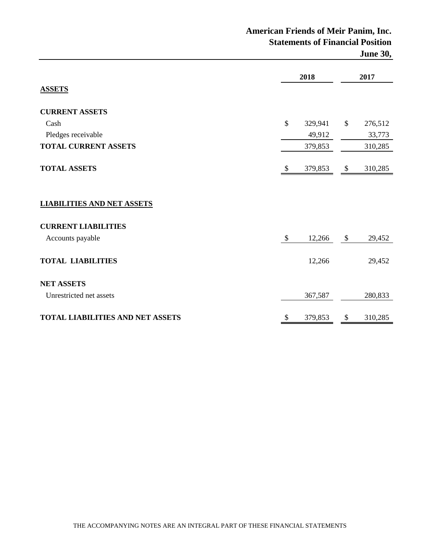# **American Friends of Meir Panim, Inc. Statements of Financial Position June 30,**

|                                         | 2018                      |         | 2017                      |         |
|-----------------------------------------|---------------------------|---------|---------------------------|---------|
| <b>ASSETS</b>                           |                           |         |                           |         |
| <b>CURRENT ASSETS</b>                   |                           |         |                           |         |
| Cash                                    | \$                        | 329,941 | $\mathcal{S}$             | 276,512 |
| Pledges receivable                      |                           | 49,912  |                           | 33,773  |
| <b>TOTAL CURRENT ASSETS</b>             |                           | 379,853 |                           | 310,285 |
| <b>TOTAL ASSETS</b>                     | $\boldsymbol{\mathsf{S}}$ | 379,853 | \$                        | 310,285 |
| <b>LIABILITIES AND NET ASSETS</b>       |                           |         |                           |         |
| <b>CURRENT LIABILITIES</b>              |                           |         |                           |         |
| Accounts payable                        | $\mathcal{S}$             | 12,266  | $\boldsymbol{\mathsf{S}}$ | 29,452  |
| <b>TOTAL LIABILITIES</b>                |                           | 12,266  |                           | 29,452  |
| <b>NET ASSETS</b>                       |                           |         |                           |         |
| Unrestricted net assets                 |                           | 367,587 |                           | 280,833 |
| <b>TOTAL LIABILITIES AND NET ASSETS</b> | \$                        | 379,853 | \$                        | 310,285 |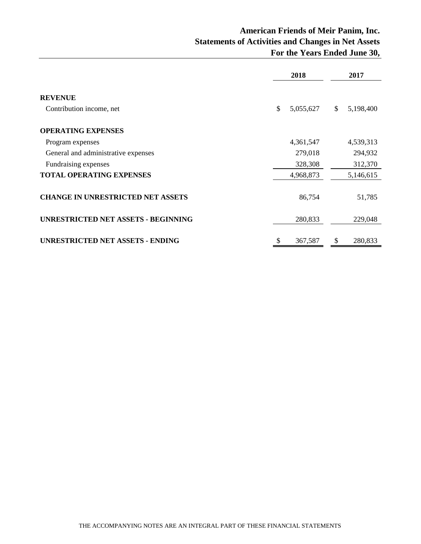# **American Friends of Meir Panim, Inc. Statements of Activities and Changes in Net Assets For the Years Ended June 30,**

|                                            | 2018            |    | 2017      |  |
|--------------------------------------------|-----------------|----|-----------|--|
| <b>REVENUE</b>                             |                 |    |           |  |
| Contribution income, net                   | \$<br>5,055,627 | \$ | 5,198,400 |  |
| <b>OPERATING EXPENSES</b>                  |                 |    |           |  |
| Program expenses                           | 4,361,547       |    | 4,539,313 |  |
| General and administrative expenses        | 279,018         |    | 294,932   |  |
| Fundraising expenses                       | 328,308         |    | 312,370   |  |
| <b>TOTAL OPERATING EXPENSES</b>            | 4,968,873       |    | 5,146,615 |  |
| <b>CHANGE IN UNRESTRICTED NET ASSETS</b>   | 86,754          |    | 51,785    |  |
| <b>UNRESTRICTED NET ASSETS - BEGINNING</b> | 280,833         |    | 229,048   |  |
| UNRESTRICTED NET ASSETS - ENDING           | \$<br>367,587   | \$ | 280,833   |  |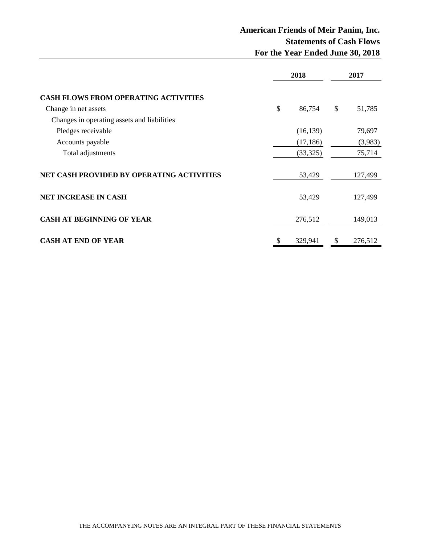# **Statements of Cash Flows For the Year Ended June 30, 2018 American Friends of Meir Panim, Inc.**

|                                             | 2018 |           | 2017         |         |
|---------------------------------------------|------|-----------|--------------|---------|
| <b>CASH FLOWS FROM OPERATING ACTIVITIES</b> |      |           |              |         |
| Change in net assets                        | \$   | 86,754    | $\mathbb{S}$ | 51,785  |
| Changes in operating assets and liabilities |      |           |              |         |
| Pledges receivable                          |      | (16, 139) |              | 79,697  |
| Accounts payable                            |      | (17, 186) |              | (3,983) |
| Total adjustments                           |      | (33, 325) |              | 75,714  |
| NET CASH PROVIDED BY OPERATING ACTIVITIES   |      | 53,429    |              | 127,499 |
| <b>NET INCREASE IN CASH</b>                 |      | 53,429    |              | 127,499 |
| <b>CASH AT BEGINNING OF YEAR</b>            |      | 276,512   |              | 149,013 |
| <b>CASH AT END OF YEAR</b>                  | \$   | 329,941   | \$           | 276,512 |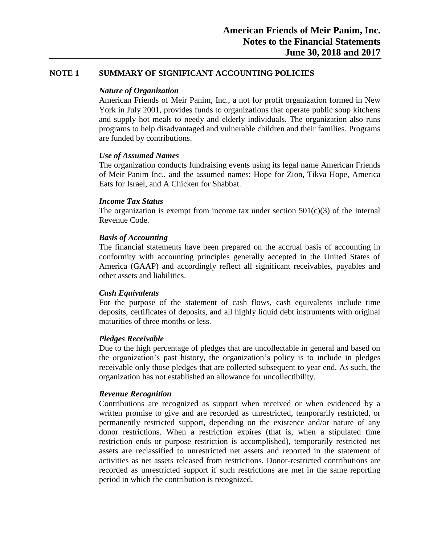## **NOTE 1 SUMMARY OF SIGNIFICANT ACCOUNTING POLICIES**

#### *Nature of Organization*

American Friends of Meir Panim, Inc., a not for profit organization formed in New York in July 2001, provides funds to organizations that operate public soup kitchens and supply hot meals to needy and elderly individuals. The organization also runs programs to help disadvantaged and vulnerable children and their families. Programs are funded by contributions.

#### *Use of Assumed Names*

The organization conducts fundraising events using its legal name American Friends of Meir Panim Inc., and the assumed names: Hope for Zion, Tikva Hope, America Eats for Israel, and A Chicken for Shabbat.

#### *Income Tax Status*

The organization is exempt from income tax under section  $501(c)(3)$  of the Internal Revenue Code.

## *Basis of Accounting*

The financial statements have been prepared on the accrual basis of accounting in conformity with accounting principles generally accepted in the United States of America (GAAP) and accordingly reflect all significant receivables, payables and other assets and liabilities.

## *Cash Equivalents*

For the purpose of the statement of cash flows, cash equivalents include time deposits, certificates of deposits, and all highly liquid debt instruments with original maturities of three months or less.

## *Pledges Receivable*

Due to the high percentage of pledges that are uncollectable in general and based on the organization's past history, the organization's policy is to include in pledges receivable only those pledges that are collected subsequent to year end. As such, the organization has not established an allowance for uncollectibility.

## *Revenue Recognition*

Contributions are recognized as support when received or when evidenced by a written promise to give and are recorded as unrestricted, temporarily restricted, or permanently restricted support, depending on the existence and/or nature of any donor restrictions. When a restriction expires (that is, when a stipulated time restriction ends or purpose restriction is accomplished), temporarily restricted net assets are reclassified to unrestricted net assets and reported in the statement of activities as net assets released from restrictions. Donor-restricted contributions are recorded as unrestricted support if such restrictions are met in the same reporting period in which the contribution is recognized.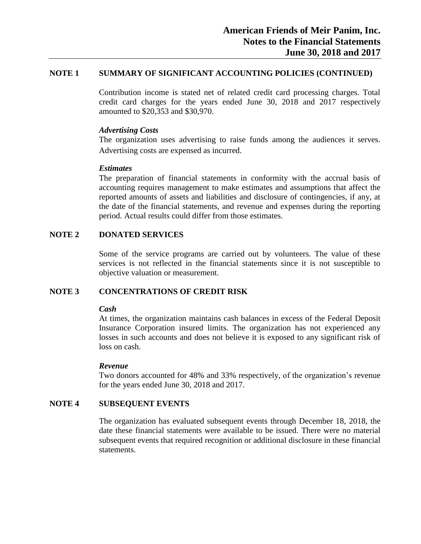## **NOTE 1 SUMMARY OF SIGNIFICANT ACCOUNTING POLICIES (CONTINUED)**

Contribution income is stated net of related credit card processing charges. Total credit card charges for the years ended June 30, 2018 and 2017 respectively amounted to \$20,353 and \$30,970.

#### *Advertising Costs*

The organization uses advertising to raise funds among the audiences it serves. Advertising costs are expensed as incurred.

#### *Estimates*

The preparation of financial statements in conformity with the accrual basis of accounting requires management to make estimates and assumptions that affect the reported amounts of assets and liabilities and disclosure of contingencies, if any, at the date of the financial statements, and revenue and expenses during the reporting period. Actual results could differ from those estimates.

## **NOTE 2 DONATED SERVICES**

Some of the service programs are carried out by volunteers. The value of these services is not reflected in the financial statements since it is not susceptible to objective valuation or measurement.

## **NOTE 3 CONCENTRATIONS OF CREDIT RISK**

#### *Cash*

At times, the organization maintains cash balances in excess of the Federal Deposit Insurance Corporation insured limits. The organization has not experienced any losses in such accounts and does not believe it is exposed to any significant risk of loss on cash.

#### *Revenue*

Two donors accounted for 48% and 33% respectively, of the organization's revenue for the years ended June 30, 2018 and 2017.

#### **NOTE 4 SUBSEQUENT EVENTS**

The organization has evaluated subsequent events through December 18, 2018, the date these financial statements were available to be issued. There were no material subsequent events that required recognition or additional disclosure in these financial statements.